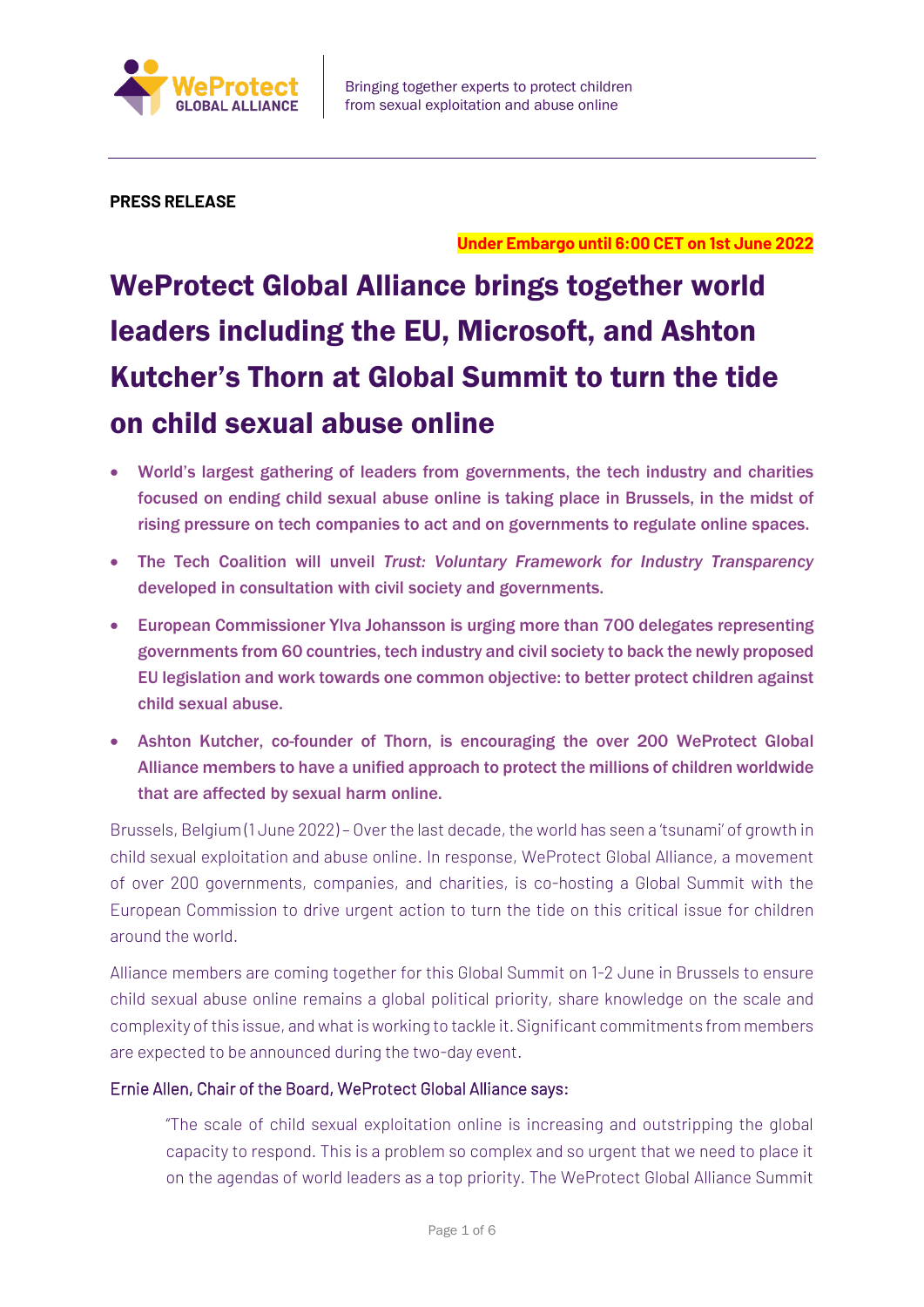

**PRESS RELEASE**

**Under Embargo until 6:00 CET on 1st June 2022**

# WeProtect Global Alliance brings together world leaders including the EU, Microsoft, and Ashton Kutcher's Thorn at Global Summit to turn the tide on child sexual abuse online

- World's largest gathering of leaders from governments, the tech industry and charities focused on ending child sexual abuse online is taking place in Brussels, in the midst of rising pressure on tech companies to act and on governments to regulate online spaces.
- The Tech Coalition will unveil *Trust: Voluntary Framework for Industry Transparency* developed in consultation with civil society and governments.
- European Commissioner Ylva Johansson is urging more than 700 delegates representing governments from 60 countries, tech industry and civil society to back the newly proposed EU legislation and work towards one common objective: to better protect children against child sexual abuse.
- Ashton Kutcher, co-founder of Thorn, is encouraging the over 200 WeProtect Global Alliance members to have a unified approach to protect the millions of children worldwide that are affected by sexual harm online.

Brussels, Belgium (1 June 2022) – Over the last decade, the world has seen a 'tsunami' of growth in child sexual exploitation and abuse online. In response, WeProtect Global Alliance, a movement of over 200 governments, companies, and charities, is co-hosting a Global Summit with the European Commission to drive urgent action to turn the tide on this critical issue for children around the world.

Alliance members are coming together for this Global Summit on 1-2 June in Brussels to ensure child sexual abuse online remains a global political priority, share knowledge on the scale and complexity of this issue, and what is working to tackle it. Significant commitments from members are expected to be announced during the two-day event.

## Ernie Allen, Chair of the Board, WeProtect Global Alliance says:

"The scale of child sexual exploitation online is increasing and outstripping the global capacity to respond. This is a problem so complex and so urgent that we need to place it on the agendas of world leaders as a top priority. The WeProtect Global Alliance Summit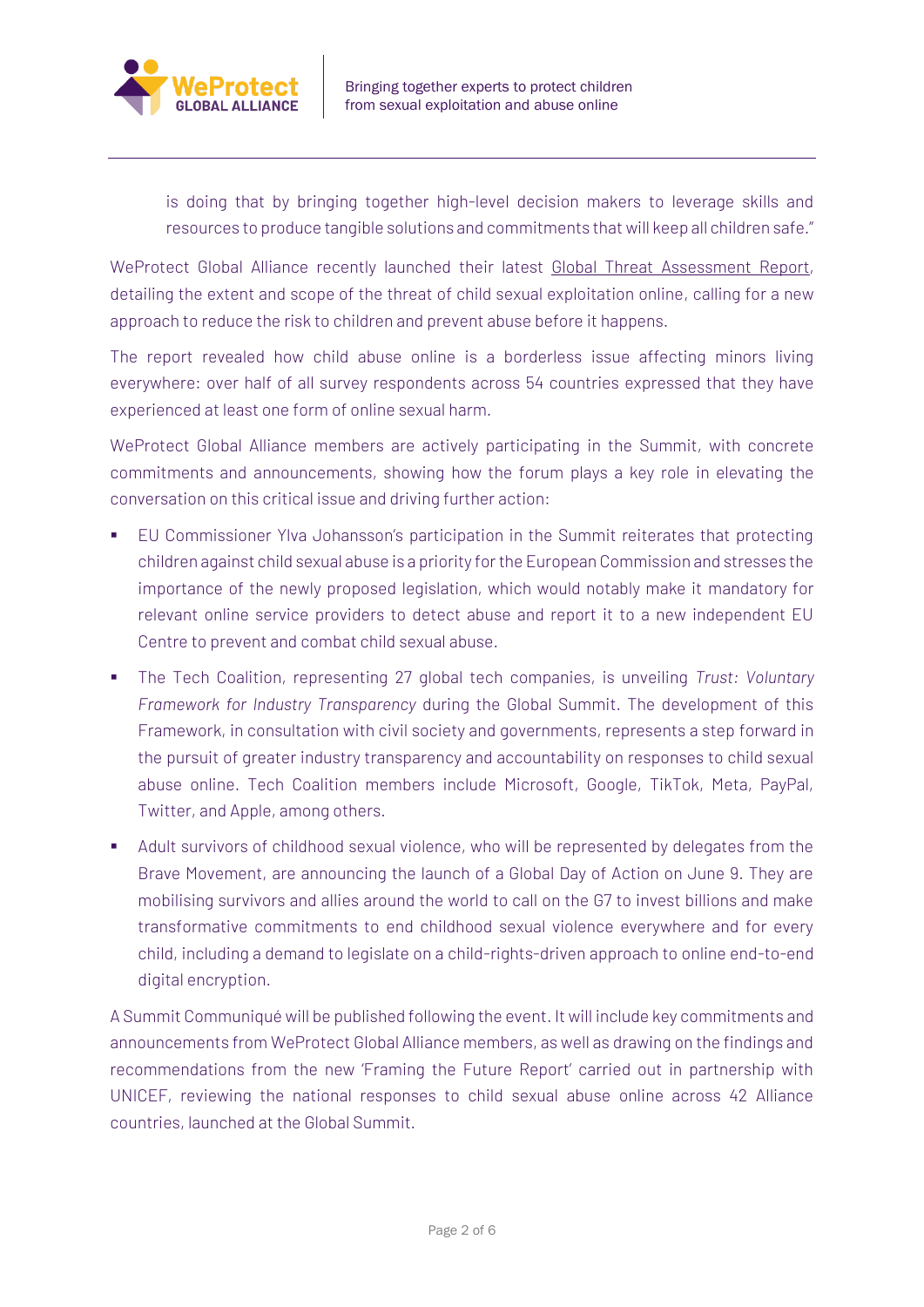

is doing that by bringing together high-level decision makers to leverage skills and resources to produce tangible solutions and commitments that will keep all children safe."

WeProtect Global Alliance recently launched their latest [Global Threat Assessment Report,](https://www.weprotect.org/global-threat-assessment-21/) detailing the extent and scope of the threat of child sexual exploitation online, calling for a new approach to reduce the risk to children and prevent abuse before it happens.

The report revealed how child abuse online is a borderless issue affecting minors living everywhere: over half of all survey respondents across 54 countries expressed that they have experienced at least one form of online sexual harm.

WeProtect Global Alliance members are actively participating in the Summit, with concrete commitments and announcements, showing how the forum plays a key role in elevating the conversation on this critical issue and driving further action:

- EU Commissioner Ylva Johansson's participation in the Summit reiterates that protecting children against child sexual abuse is a priority for the European Commission and stresses the importance of the newly proposed legislation, which would notably make it mandatory for relevant online service providers to detect abuse and report it to a new independent EU Centre to prevent and combat child sexual abuse.
- The Tech Coalition, representing 27 global tech companies, is unveiling *Trust: Voluntary Framework for Industry Transparency* during the Global Summit. The development of this Framework, in consultation with civil society and governments, represents a step forward in the pursuit of greater industry transparency and accountability on responses to child sexual abuse online. Tech Coalition members include Microsoft, Google, TikTok, Meta, PayPal, Twitter, and Apple, among others.
- Adult survivors of childhood sexual violence, who will be represented by delegates from the Brave Movement, are announcing the launch of a Global Day of Action on June 9. They are mobilising survivors and allies around the world to call on the G7 to invest billions and make transformative commitments to end childhood sexual violence everywhere and for every child, including a demand to legislate on a child-rights-driven approach to online end-to-end digital encryption.

A Summit Communiqué will be published following the event. It will include key commitments and announcements from WeProtect Global Alliance members, as well as drawing on the findings and recommendations from the new 'Framing the Future Report' carried out in partnership with UNICEF, reviewing the national responses to child sexual abuse online across 42 Alliance countries, launched at the Global Summit.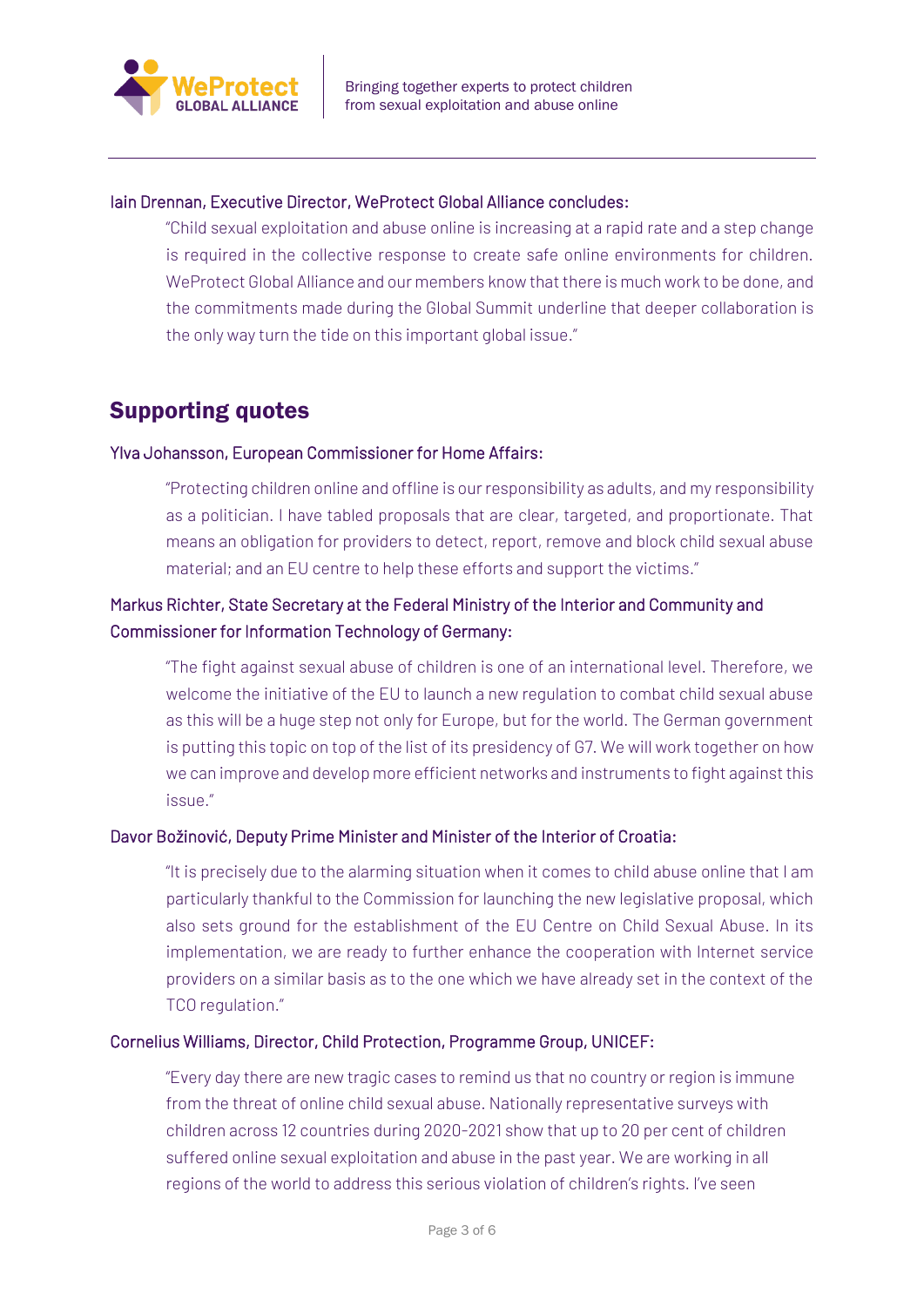

#### Iain Drennan, Executive Director, WeProtect Global Alliance concludes:

"Child sexual exploitation and abuse online is increasing at a rapid rate and a step change is required in the collective response to create safe online environments for children. WeProtect Global Alliance and our members know that there is much work to be done, and the commitments made during the Global Summit underline that deeper collaboration is the only way turn the tide on this important global issue."

## Supporting quotes

#### Ylva Johansson, European Commissioner for Home Affairs:

"Protecting children online and offline is our responsibility as adults, and my responsibility as a politician. I have tabled proposals that are clear, targeted, and proportionate. That means an obligation for providers to detect, report, remove and block child sexual abuse material; and an EU centre to help these efforts and support the victims."

## Markus Richter, State Secretary at the Federal Ministry of the Interior and Community and Commissioner for Information Technology of Germany:

"The fight against sexual abuse of children is one of an international level. Therefore, we welcome the initiative of the EU to launch a new regulation to combat child sexual abuse as this will be a huge step not only for Europe, but for the world. The German government is putting this topic on top of the list of its presidency of G7. We will work together on how we can improve and develop more efficient networks and instruments to fight against this issue."

#### Davor Božinović, Deputy Prime Minister and Minister of the Interior of Croatia:

"It is precisely due to the alarming situation when it comes to child abuse online that I am particularly thankful to the Commission for launching the new legislative proposal, which also sets ground for the establishment of the EU Centre on Child Sexual Abuse. In its implementation, we are ready to further enhance the cooperation with Internet service providers on a similar basis as to the one which we have already set in the context of the TCO regulation."

#### Cornelius Williams, Director, Child Protection, Programme Group, UNICEF:

"Every day there are new tragic cases to remind us that no country or region is immune from the threat of online child sexual abuse. Nationally representative surveys with children across 12 countries during 2020-2021 show that up to 20 per cent of children suffered online sexual exploitation and abuse in the past year. We are working in all regions of the world to address this serious violation of children's rights. I've seen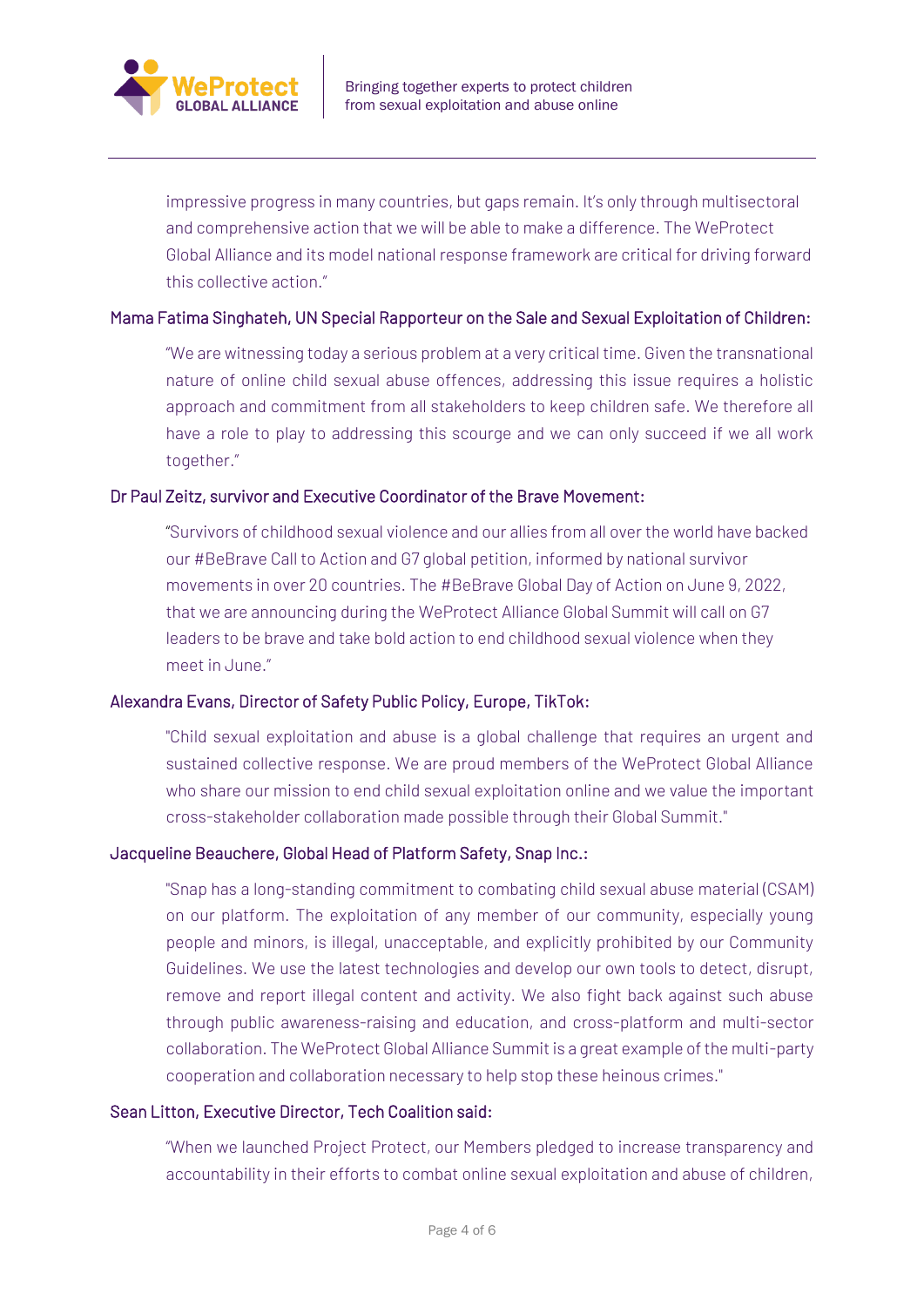

impressive progress in many countries, but gaps remain. It's only through multisectoral and comprehensive action that we will be able to make a difference. The WeProtect Global Alliance and its model national response framework are critical for driving forward this collective action."

#### Mama Fatima Singhateh, UN Special Rapporteur on the Sale and Sexual Exploitation of Children:

"We are witnessing today a serious problem at a very critical time. Given the transnational nature of online child sexual abuse offences, addressing this issue requires a holistic approach and commitment from all stakeholders to keep children safe. We therefore all have a role to play to addressing this scourge and we can only succeed if we all work together."

#### Dr Paul Zeitz, survivor and Executive Coordinator of the Brave Movement:

"Survivors of childhood sexual violence and our allies from all over the world have backed our #BeBrave Call to Action and G7 global petition, informed by national survivor movements in over 20 countries. The #BeBrave Global Day of Action on June 9, 2022, that we are announcing during the WeProtect Alliance Global Summit will call on G7 leaders to be brave and take bold action to end childhood sexual violence when they meet in June."

#### Alexandra Evans, Director of Safety Public Policy, Europe, TikTok:

"Child sexual exploitation and abuse is a global challenge that requires an urgent and sustained collective response. We are proud members of the WeProtect Global Alliance who share our mission to end child sexual exploitation online and we value the important cross-stakeholder collaboration made possible through their Global Summit."

#### Jacqueline Beauchere, Global Head of Platform Safety, Snap Inc.:

"Snap has a long-standing commitment to combating child sexual abuse material (CSAM) on our platform. The exploitation of any member of our community, especially young people and minors, is illegal, unacceptable, and explicitly prohibited by our Community Guidelines. We use the latest technologies and develop our own tools to detect, disrupt, remove and report illegal content and activity. We also fight back against such abuse through public awareness-raising and education, and cross-platform and multi-sector collaboration. The WeProtect Global Alliance Summit is a great example of the multi-party cooperation and collaboration necessary to help stop these heinous crimes."

#### Sean Litton, Executive Director, Tech Coalition said:

"When we launched Project Protect, our Members pledged to increase transparency and accountability in their efforts to combat online sexual exploitation and abuse of children,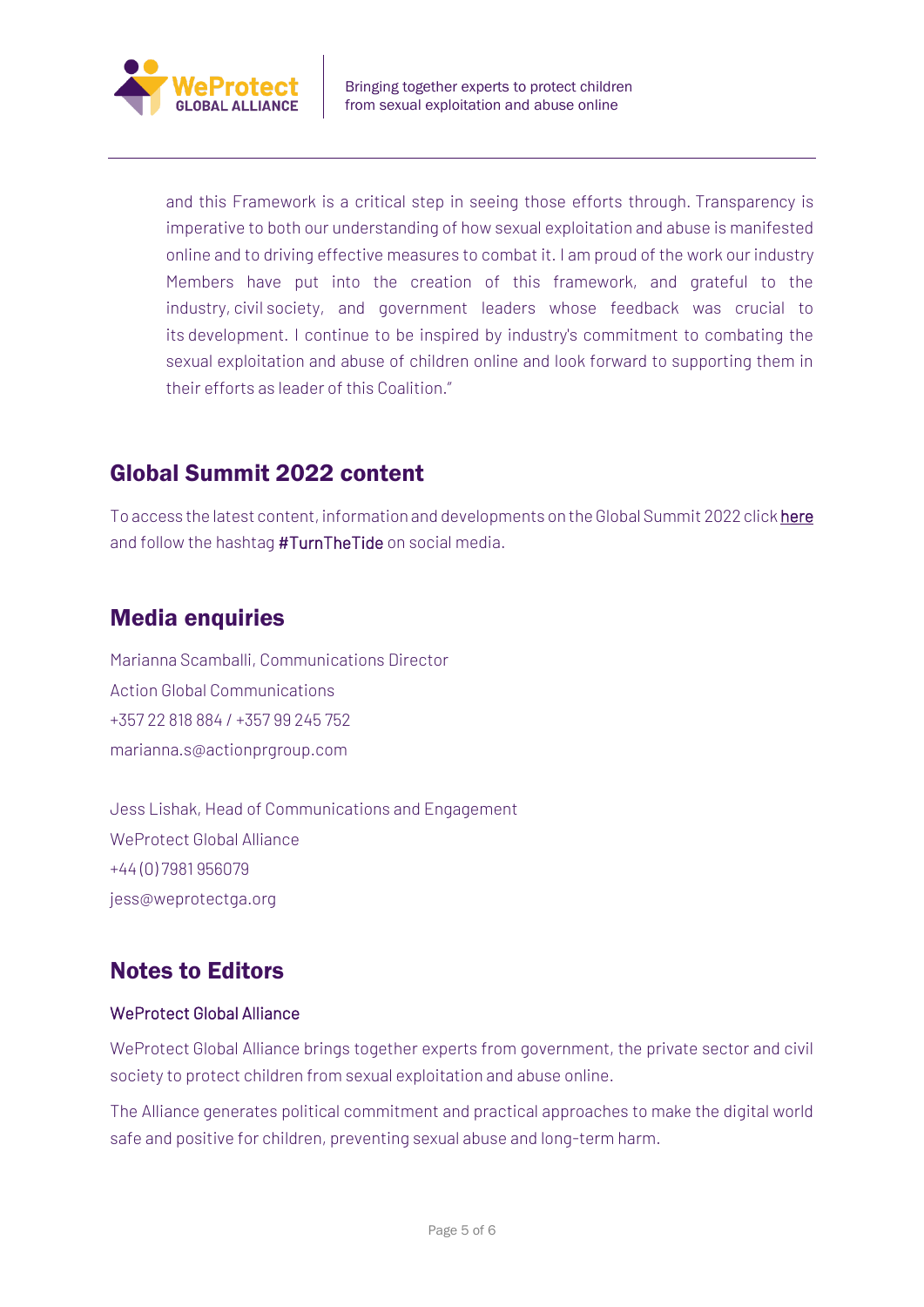

and this Framework is a critical step in seeing those efforts through. Transparency is imperative to both our understanding of how sexual exploitation and abuse is manifested online and to driving effective measures to combat it. I am proud of the work our industry Members have put into the creation of this framework, and grateful to the industry, civil society, and government leaders whose feedback was crucial to its development. I continue to be inspired by industry's commitment to combating the sexual exploitation and abuse of children online and look forward to supporting them in their efforts as leader of this Coalition."

# Global Summit 2022 content

To access the latest content, information and developments on the Global Summit 2022 click [here](https://www.weprotect.org/globalsummit2022/) and follow the hashtag #TurnTheTide on social media.

# Media enquiries

Marianna Scamballi, Communications Director Action Global Communications +357 22 818 884 / +357 99 245 752 [marianna.s@actionprgroup.com](mailto:marianna.s@actionprgroup.com)

Jess Lishak, Head of Communications and Engagement WeProtect Global Alliance +44 (0) 7981 956079 [jess@weprotectga.org](mailto:jess@weprotectga.org)

# Notes to Editors

## WeProtect Global Alliance

WeProtect Global Alliance brings together experts from government, the private sector and civil society to protect children from sexual exploitation and abuse online.

The Alliance generates political commitment and practical approaches to make the digital world safe and positive for children, preventing sexual abuse and long-term harm.